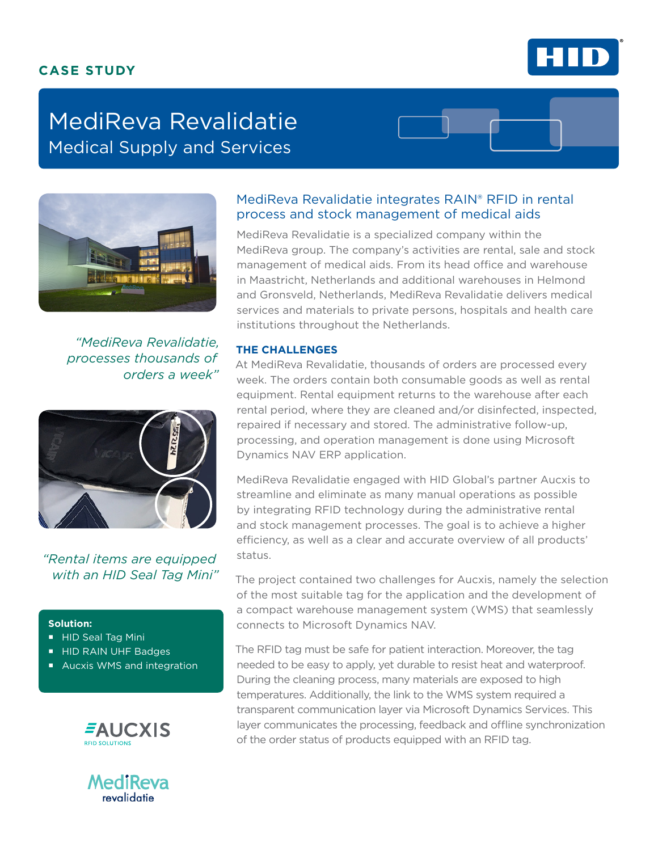# **CASE STUDY**



# MediReva Revalidatie Medical Supply and Services



*"MediReva Revalidatie, processes thousands of orders a week"*



*"Rental items are equipped with an HID Seal Tag Mini"*

## **Solution:**

- HID Seal Tag Mini
- HID RAIN UHF Badges
- **Aucxis WMS and integration**





# MediReva Revalidatie integrates RAIN® RFID in rental process and stock management of medical aids

MediReva Revalidatie is a specialized company within the MediReva group. The company's activities are rental, sale and stock management of medical aids. From its head office and warehouse in Maastricht, Netherlands and additional warehouses in Helmond and Gronsveld, Netherlands, MediReva Revalidatie delivers medical services and materials to private persons, hospitals and health care institutions throughout the Netherlands.

## **THE CHALLENGES**

At MediReva Revalidatie, thousands of orders are processed every week. The orders contain both consumable goods as well as rental equipment. Rental equipment returns to the warehouse after each rental period, where they are cleaned and/or disinfected, inspected, repaired if necessary and stored. The administrative follow-up, processing, and operation management is done using Microsoft Dynamics NAV ERP application.

MediReva Revalidatie engaged with HID Global's partner Aucxis to streamline and eliminate as many manual operations as possible by integrating RFID technology during the administrative rental and stock management processes. The goal is to achieve a higher efficiency, as well as a clear and accurate overview of all products' status.

The project contained two challenges for Aucxis, namely the selection of the most suitable tag for the application and the development of a compact warehouse management system (WMS) that seamlessly connects to Microsoft Dynamics NAV.

The RFID tag must be safe for patient interaction. Moreover, the tag needed to be easy to apply, yet durable to resist heat and waterproof. During the cleaning process, many materials are exposed to high temperatures. Additionally, the link to the WMS system required a transparent communication layer via Microsoft Dynamics Services. This layer communicates the processing, feedback and offline synchronization of the order status of products equipped with an RFID tag.